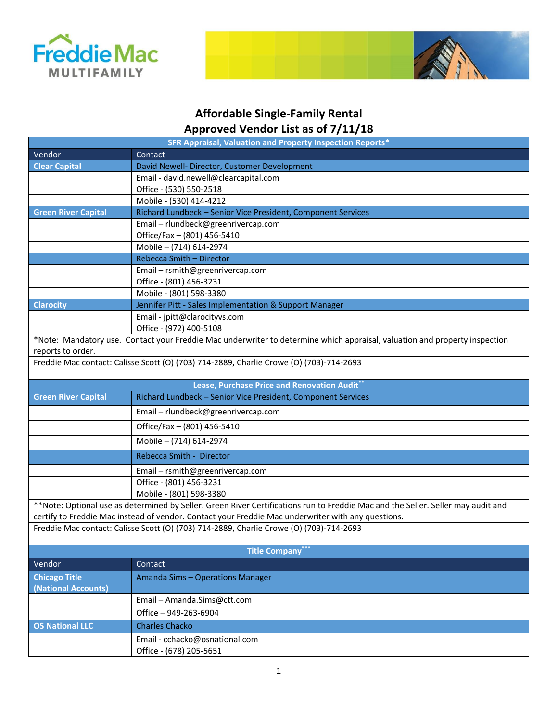



## **Affordable Single-Family Rental Approved Vendor List as of 7/11/18**

| SFR Appraisal, Valuation and Property Inspection Reports* |                                                                                                                                                                                                                                        |  |
|-----------------------------------------------------------|----------------------------------------------------------------------------------------------------------------------------------------------------------------------------------------------------------------------------------------|--|
| Vendor                                                    | Contact                                                                                                                                                                                                                                |  |
| <b>Clear Capital</b>                                      | David Newell- Director, Customer Development                                                                                                                                                                                           |  |
|                                                           | Email - david.newell@clearcapital.com                                                                                                                                                                                                  |  |
|                                                           | Office - (530) 550-2518                                                                                                                                                                                                                |  |
|                                                           | Mobile - (530) 414-4212                                                                                                                                                                                                                |  |
| <b>Green River Capital</b>                                | Richard Lundbeck - Senior Vice President, Component Services                                                                                                                                                                           |  |
|                                                           | Email - rlundbeck@greenrivercap.com                                                                                                                                                                                                    |  |
|                                                           | Office/Fax - (801) 456-5410                                                                                                                                                                                                            |  |
|                                                           | Mobile - (714) 614-2974                                                                                                                                                                                                                |  |
|                                                           | Rebecca Smith - Director                                                                                                                                                                                                               |  |
|                                                           | Email - rsmith@greenrivercap.com                                                                                                                                                                                                       |  |
|                                                           | Office - (801) 456-3231                                                                                                                                                                                                                |  |
|                                                           | Mobile - (801) 598-3380                                                                                                                                                                                                                |  |
| <b>Clarocity</b>                                          | Jennifer Pitt - Sales Implementation & Support Manager                                                                                                                                                                                 |  |
|                                                           | Email - jpitt@clarocityvs.com                                                                                                                                                                                                          |  |
|                                                           | Office - (972) 400-5108                                                                                                                                                                                                                |  |
| reports to order.                                         | *Note: Mandatory use. Contact your Freddie Mac underwriter to determine which appraisal, valuation and property inspection                                                                                                             |  |
|                                                           | Freddie Mac contact: Calisse Scott (O) (703) 714-2889, Charlie Crowe (O) (703)-714-2693                                                                                                                                                |  |
|                                                           | Lease, Purchase Price and Renovation Audit**                                                                                                                                                                                           |  |
| <b>Green River Capital</b>                                | Richard Lundbeck - Senior Vice President, Component Services                                                                                                                                                                           |  |
|                                                           | Email - rlundbeck@greenrivercap.com                                                                                                                                                                                                    |  |
|                                                           | Office/Fax - (801) 456-5410                                                                                                                                                                                                            |  |
|                                                           | Mobile - (714) 614-2974                                                                                                                                                                                                                |  |
|                                                           | Rebecca Smith - Director                                                                                                                                                                                                               |  |
|                                                           | Email - rsmith@greenrivercap.com                                                                                                                                                                                                       |  |
|                                                           | Office - (801) 456-3231                                                                                                                                                                                                                |  |
|                                                           | Mobile - (801) 598-3380                                                                                                                                                                                                                |  |
|                                                           | **Note: Optional use as determined by Seller. Green River Certifications run to Freddie Mac and the Seller. Seller may audit and<br>certify to Freddie Mac instead of vendor. Contact your Freddie Mac underwriter with any questions. |  |
|                                                           | Freddie Mac contact: Calisse Scott (O) (703) 714-2889, Charlie Crowe (O) (703)-714-2693                                                                                                                                                |  |
| <b>Title Company</b> ***                                  |                                                                                                                                                                                                                                        |  |
| Vendor                                                    | Contact                                                                                                                                                                                                                                |  |
| <b>Chicago Title</b><br>(National Accounts)               | Amanda Sims - Operations Manager                                                                                                                                                                                                       |  |
|                                                           | Email - Amanda.Sims@ctt.com                                                                                                                                                                                                            |  |
|                                                           | Office - 949-263-6904                                                                                                                                                                                                                  |  |
| OS National LLC                                           | <b>Charles Chacko</b>                                                                                                                                                                                                                  |  |
|                                                           | Email - cchacko@osnational.com                                                                                                                                                                                                         |  |
|                                                           | Office - (678) 205-5651                                                                                                                                                                                                                |  |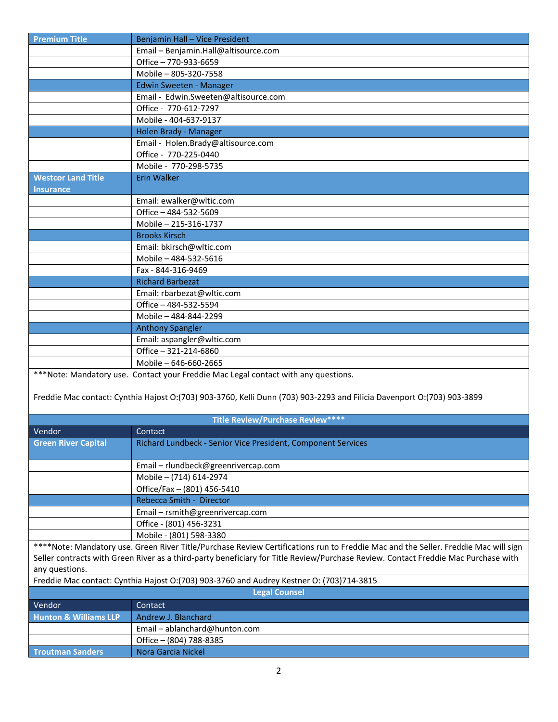| <b>Premium Title</b>             | Benjamin Hall - Vice President                                                                                                     |
|----------------------------------|------------------------------------------------------------------------------------------------------------------------------------|
|                                  | Email - Benjamin.Hall@altisource.com                                                                                               |
|                                  | Office - 770-933-6659                                                                                                              |
|                                  | Mobile - 805-320-7558                                                                                                              |
|                                  | Edwin Sweeten - Manager                                                                                                            |
|                                  | Email - Edwin.Sweeten@altisource.com                                                                                               |
|                                  | Office - 770-612-7297                                                                                                              |
|                                  | Mobile - 404-637-9137                                                                                                              |
|                                  | Holen Brady - Manager                                                                                                              |
|                                  | Email - Holen.Brady@altisource.com                                                                                                 |
|                                  | Office - 770-225-0440                                                                                                              |
|                                  | Mobile - 770-298-5735                                                                                                              |
| <b>Westcor Land Title</b>        | <b>Erin Walker</b>                                                                                                                 |
| <b>Insurance</b>                 |                                                                                                                                    |
|                                  | Email: ewalker@wltic.com                                                                                                           |
|                                  | Office - 484-532-5609                                                                                                              |
|                                  | Mobile - 215-316-1737                                                                                                              |
|                                  | <b>Brooks Kirsch</b>                                                                                                               |
|                                  | Email: bkirsch@wltic.com                                                                                                           |
|                                  | Mobile - 484-532-5616                                                                                                              |
|                                  | Fax - 844-316-9469                                                                                                                 |
|                                  | <b>Richard Barbezat</b>                                                                                                            |
|                                  | Email: rbarbezat@wltic.com                                                                                                         |
|                                  | Office - 484-532-5594                                                                                                              |
|                                  | Mobile - 484-844-2299                                                                                                              |
|                                  | <b>Anthony Spangler</b>                                                                                                            |
|                                  | Email: aspangler@wltic.com                                                                                                         |
|                                  | Office - 321-214-6860                                                                                                              |
|                                  | Mobile - 646-660-2665                                                                                                              |
|                                  | ***Note: Mandatory use. Contact your Freddie Mac Legal contact with any questions.                                                 |
|                                  |                                                                                                                                    |
|                                  | Freddie Mac contact: Cynthia Hajost O:(703) 903-3760, Kelli Dunn (703) 903-2293 and Filicia Davenport O:(703) 903-3899             |
|                                  |                                                                                                                                    |
|                                  | Title Review/Purchase Review****                                                                                                   |
| Vendor                           | Contact                                                                                                                            |
|                                  | Richard Lundbeck - Senior Vice President, Component Services                                                                       |
| <b>Green River Capital</b>       |                                                                                                                                    |
|                                  | Email - rlundbeck@greenrivercap.com                                                                                                |
|                                  | Mobile - (714) 614-2974                                                                                                            |
|                                  |                                                                                                                                    |
|                                  | Office/Fax - (801) 456-5410                                                                                                        |
|                                  | Rebecca Smith - Director                                                                                                           |
|                                  | Email - rsmith@greenrivercap.com                                                                                                   |
|                                  | Office - (801) 456-3231                                                                                                            |
|                                  | Mobile - (801) 598-3380                                                                                                            |
|                                  | ****Note: Mandatory use. Green River Title/Purchase Review Certifications run to Freddie Mac and the Seller. Freddie Mac will sign |
|                                  | Seller contracts with Green River as a third-party beneficiary for Title Review/Purchase Review. Contact Freddie Mac Purchase with |
| any questions.                   |                                                                                                                                    |
|                                  | Freddie Mac contact: Cynthia Hajost O: (703) 903-3760 and Audrey Kestner O: (703)714-3815                                          |
|                                  | <b>Legal Counsel</b>                                                                                                               |
| Vendor                           | Contact                                                                                                                            |
| <b>Hunton &amp; Williams LLP</b> | Andrew J. Blanchard                                                                                                                |
|                                  | Email - ablanchard@hunton.com                                                                                                      |
|                                  | Office - (804) 788-8385                                                                                                            |
| <b>Troutman Sanders</b>          | Nora Garcia Nickel                                                                                                                 |